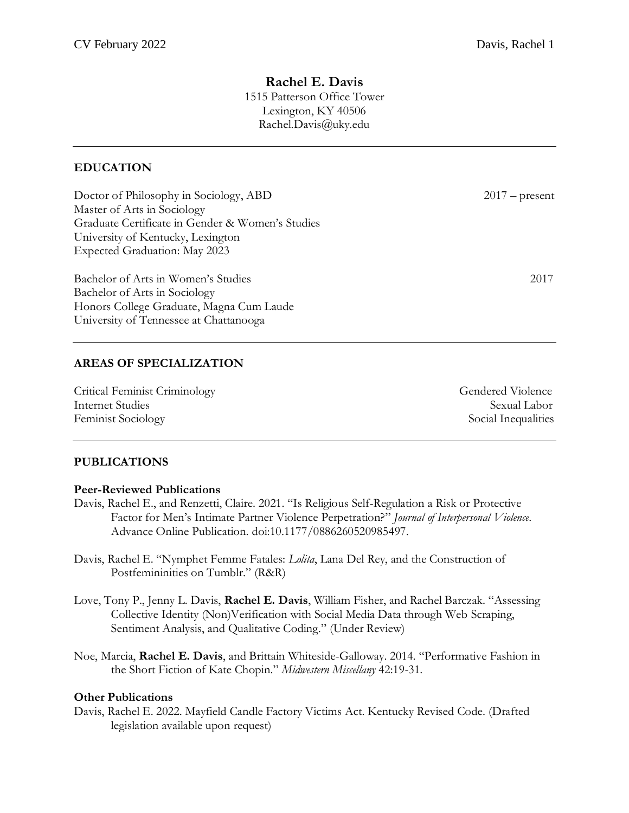## **Rachel E. Davis** 1515 Patterson Office Tower Lexington, KY 40506 Rachel.Davis@uky.edu

## **EDUCATION**

| Doctor of Philosophy in Sociology, ABD           | $2017$ – present |
|--------------------------------------------------|------------------|
| Master of Arts in Sociology                      |                  |
| Graduate Certificate in Gender & Women's Studies |                  |
| University of Kentucky, Lexington                |                  |
| Expected Graduation: May 2023                    |                  |
| Bachelor of Arts in Women's Studies              | 2017             |
| Bachelor of Arts in Sociology                    |                  |
| Honors College Graduate, Magna Cum Laude         |                  |
| University of Tennessee at Chattanooga           |                  |

## **AREAS OF SPECIALIZATION**

Critical Feminist Criminology Gendered Violence Internet Studies Sexual Labor Feminist Sociology Social Inequalities

## **PUBLICATIONS**

#### **Peer-Reviewed Publications**

- Davis, Rachel E., and Renzetti, Claire. 2021. "Is Religious Self-Regulation a Risk or Protective Factor for Men's Intimate Partner Violence Perpetration?" *Journal of Interpersonal Violence*. Advance Online Publication. doi:10.1177/0886260520985497.
- Davis, Rachel E. "Nymphet Femme Fatales: *Lolita*, Lana Del Rey, and the Construction of Postfemininities on Tumblr." (R&R)
- Love, Tony P., Jenny L. Davis, **Rachel E. Davis**, William Fisher, and Rachel Barczak. "Assessing Collective Identity (Non)Verification with Social Media Data through Web Scraping, Sentiment Analysis, and Qualitative Coding." (Under Review)
- Noe, Marcia, **Rachel E. Davis**, and Brittain Whiteside-Galloway. 2014. "Performative Fashion in the Short Fiction of Kate Chopin." *Midwestern Miscellany* 42:19-31.

#### **Other Publications**

Davis, Rachel E. 2022. Mayfield Candle Factory Victims Act. Kentucky Revised Code. (Drafted legislation available upon request)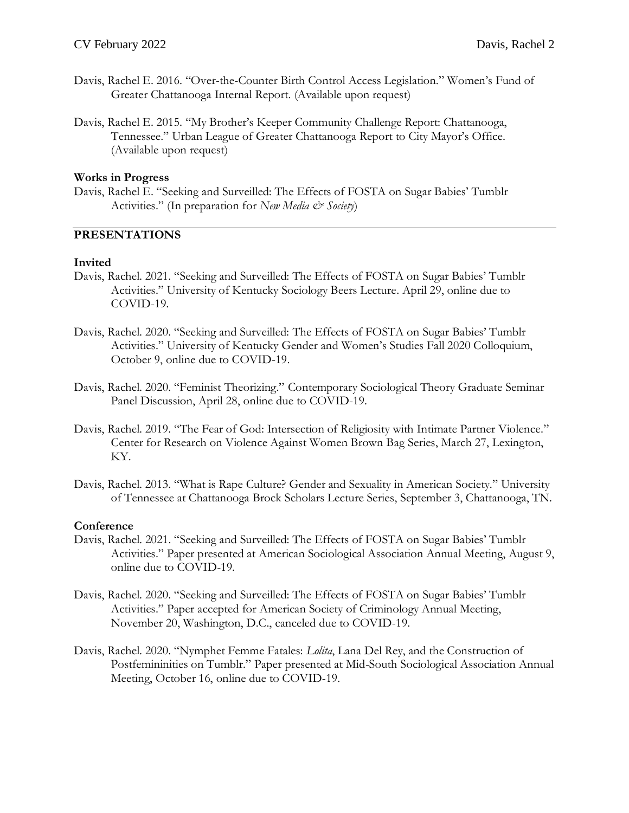- Davis, Rachel E. 2016. "Over-the-Counter Birth Control Access Legislation." Women's Fund of Greater Chattanooga Internal Report. (Available upon request)
- Davis, Rachel E. 2015. "My Brother's Keeper Community Challenge Report: Chattanooga, Tennessee." Urban League of Greater Chattanooga Report to City Mayor's Office. (Available upon request)

#### **Works in Progress**

Davis, Rachel E. "Seeking and Surveilled: The Effects of FOSTA on Sugar Babies' Tumblr Activities." (In preparation for *New Media & Society*)

## **PRESENTATIONS**

#### **Invited**

- Davis, Rachel. 2021. "Seeking and Surveilled: The Effects of FOSTA on Sugar Babies' Tumblr Activities." University of Kentucky Sociology Beers Lecture. April 29, online due to COVID-19.
- Davis, Rachel. 2020. "Seeking and Surveilled: The Effects of FOSTA on Sugar Babies' Tumblr Activities." University of Kentucky Gender and Women's Studies Fall 2020 Colloquium, October 9, online due to COVID-19.
- Davis, Rachel. 2020. "Feminist Theorizing." Contemporary Sociological Theory Graduate Seminar Panel Discussion, April 28, online due to COVID-19.
- Davis, Rachel. 2019. "The Fear of God: Intersection of Religiosity with Intimate Partner Violence." Center for Research on Violence Against Women Brown Bag Series, March 27, Lexington, KY.
- Davis, Rachel. 2013. "What is Rape Culture? Gender and Sexuality in American Society." University of Tennessee at Chattanooga Brock Scholars Lecture Series, September 3, Chattanooga, TN.

#### **Conference**

- Davis, Rachel. 2021. "Seeking and Surveilled: The Effects of FOSTA on Sugar Babies' Tumblr Activities." Paper presented at American Sociological Association Annual Meeting, August 9, online due to COVID-19.
- Davis, Rachel. 2020. "Seeking and Surveilled: The Effects of FOSTA on Sugar Babies' Tumblr Activities." Paper accepted for American Society of Criminology Annual Meeting, November 20, Washington, D.C., canceled due to COVID-19.
- Davis, Rachel. 2020. "Nymphet Femme Fatales: *Lolita*, Lana Del Rey, and the Construction of Postfemininities on Tumblr." Paper presented at Mid-South Sociological Association Annual Meeting, October 16, online due to COVID-19.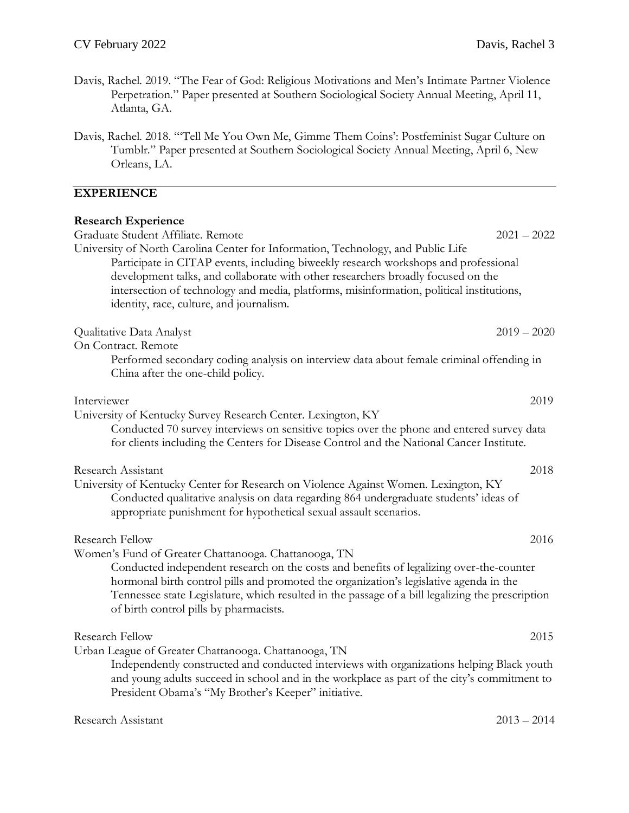- Davis, Rachel. 2019. "The Fear of God: Religious Motivations and Men's Intimate Partner Violence Perpetration." Paper presented at Southern Sociological Society Annual Meeting, April 11, Atlanta, GA.
- Davis, Rachel. 2018. "'Tell Me You Own Me, Gimme Them Coins': Postfeminist Sugar Culture on Tumblr." Paper presented at Southern Sociological Society Annual Meeting, April 6, New Orleans, LA.

## **EXPERIENCE**

| $2021 - 2022$                                                                                                                                                                                                                                                                         |
|---------------------------------------------------------------------------------------------------------------------------------------------------------------------------------------------------------------------------------------------------------------------------------------|
| Participate in CITAP events, including biweekly research workshops and professional<br>intersection of technology and media, platforms, misinformation, political institutions,                                                                                                       |
| $2019 - 2020$                                                                                                                                                                                                                                                                         |
| Performed secondary coding analysis on interview data about female criminal offending in                                                                                                                                                                                              |
| 2019                                                                                                                                                                                                                                                                                  |
| Conducted 70 survey interviews on sensitive topics over the phone and entered survey data<br>for clients including the Centers for Disease Control and the National Cancer Institute.                                                                                                 |
| 2018<br>Conducted qualitative analysis on data regarding 864 undergraduate students' ideas of                                                                                                                                                                                         |
| 2016                                                                                                                                                                                                                                                                                  |
| Conducted independent research on the costs and benefits of legalizing over-the-counter<br>hormonal birth control pills and promoted the organization's legislative agenda in the<br>Tennessee state Legislature, which resulted in the passage of a bill legalizing the prescription |
| 2015                                                                                                                                                                                                                                                                                  |
| Independently constructed and conducted interviews with organizations helping Black youth<br>and young adults succeed in school and in the workplace as part of the city's commitment to                                                                                              |
|                                                                                                                                                                                                                                                                                       |

Research Assistant 2013 – 2014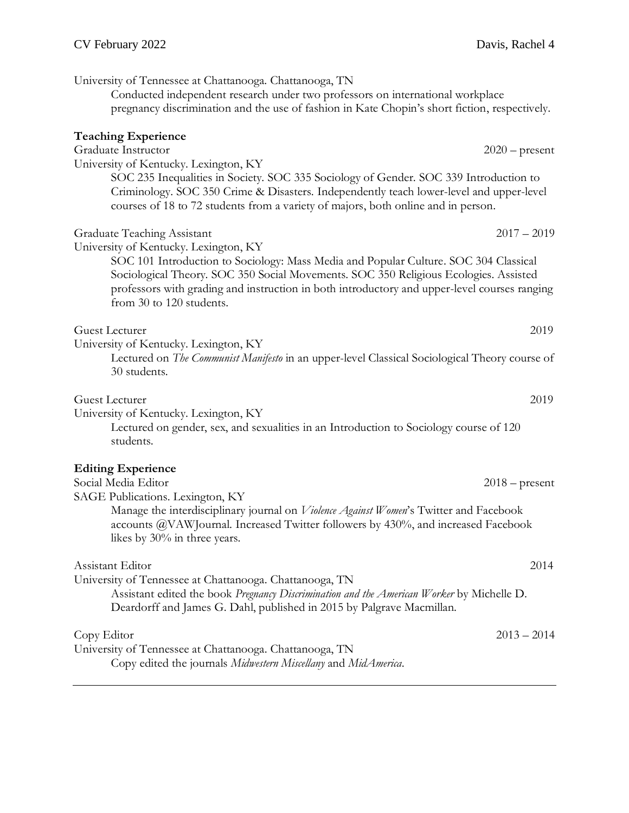University of Tennessee at Chattanooga. Chattanooga, TN Conducted independent research under two professors on international workplace pregnancy discrimination and the use of fashion in Kate Chopin's short fiction, respectively. **Teaching Experience** Graduate Instructor 2020 – present University of Kentucky. Lexington, KY SOC 235 Inequalities in Society. SOC 335 Sociology of Gender. SOC 339 Introduction to Criminology. SOC 350 Crime & Disasters. Independently teach lower-level and upper-level courses of 18 to 72 students from a variety of majors, both online and in person. Graduate Teaching Assistant 2017 – 2019 University of Kentucky. Lexington, KY SOC 101 Introduction to Sociology: Mass Media and Popular Culture. SOC 304 Classical Sociological Theory. SOC 350 Social Movements. SOC 350 Religious Ecologies. Assisted professors with grading and instruction in both introductory and upper-level courses ranging from 30 to 120 students. Guest Lecturer 2019 University of Kentucky. Lexington, KY Lectured on *The Communist Manifesto* in an upper-level Classical Sociological Theory course of 30 students. Guest Lecturer 2019 University of Kentucky. Lexington, KY Lectured on gender, sex, and sexualities in an Introduction to Sociology course of 120 students. **Editing Experience**  Social Media Editor 2018 – present SAGE Publications. Lexington, KY Manage the interdisciplinary journal on *Violence Against Women*'s Twitter and Facebook accounts @VAWJournal. Increased Twitter followers by 430%, and increased Facebook likes by 30% in three years. Assistant Editor 2014 University of Tennessee at Chattanooga. Chattanooga, TN Assistant edited the book *Pregnancy Discrimination and the American Worker* by Michelle D. Deardorff and James G. Dahl, published in 2015 by Palgrave Macmillan. Copy Editor 2013 – 2014 University of Tennessee at Chattanooga. Chattanooga, TN Copy edited the journals *Midwestern Miscellany* and *MidAmerica*.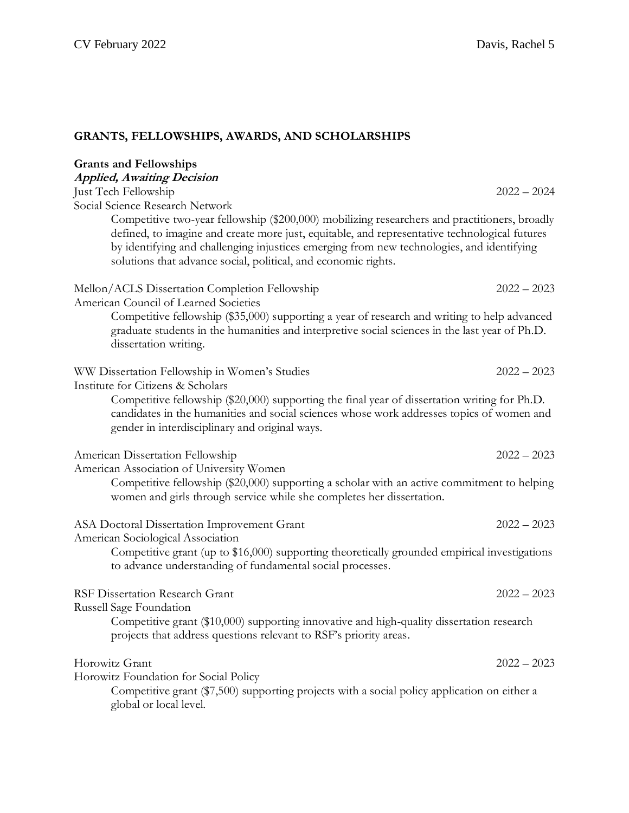# **GRANTS, FELLOWSHIPS, AWARDS, AND SCHOLARSHIPS**

| <b>Grants and Fellowships</b>                                                                                                                                                                                                                                                                                                                                 |               |  |
|---------------------------------------------------------------------------------------------------------------------------------------------------------------------------------------------------------------------------------------------------------------------------------------------------------------------------------------------------------------|---------------|--|
| <b>Applied, Awaiting Decision</b>                                                                                                                                                                                                                                                                                                                             |               |  |
| Just Tech Fellowship<br>Social Science Research Network                                                                                                                                                                                                                                                                                                       | $2022 - 2024$ |  |
| Competitive two-year fellowship (\$200,000) mobilizing researchers and practitioners, broadly<br>defined, to imagine and create more just, equitable, and representative technological futures<br>by identifying and challenging injustices emerging from new technologies, and identifying<br>solutions that advance social, political, and economic rights. |               |  |
| Mellon/ACLS Dissertation Completion Fellowship<br>American Council of Learned Societies                                                                                                                                                                                                                                                                       | $2022 - 2023$ |  |
| Competitive fellowship (\$35,000) supporting a year of research and writing to help advanced<br>graduate students in the humanities and interpretive social sciences in the last year of Ph.D.<br>dissertation writing.                                                                                                                                       |               |  |
| WW Dissertation Fellowship in Women's Studies<br>Institute for Citizens & Scholars                                                                                                                                                                                                                                                                            | $2022 - 2023$ |  |
| Competitive fellowship (\$20,000) supporting the final year of dissertation writing for Ph.D.<br>candidates in the humanities and social sciences whose work addresses topics of women and<br>gender in interdisciplinary and original ways.                                                                                                                  |               |  |
| American Dissertation Fellowship                                                                                                                                                                                                                                                                                                                              | $2022 - 2023$ |  |
| American Association of University Women                                                                                                                                                                                                                                                                                                                      |               |  |
| Competitive fellowship (\$20,000) supporting a scholar with an active commitment to helping<br>women and girls through service while she completes her dissertation.                                                                                                                                                                                          |               |  |
| ASA Doctoral Dissertation Improvement Grant<br>American Sociological Association                                                                                                                                                                                                                                                                              | $2022 - 2023$ |  |
| Competitive grant (up to \$16,000) supporting theoretically grounded empirical investigations<br>to advance understanding of fundamental social processes.                                                                                                                                                                                                    |               |  |
| <b>RSF Dissertation Research Grant</b>                                                                                                                                                                                                                                                                                                                        | $2022 - 2023$ |  |
| Russell Sage Foundation<br>Competitive grant (\$10,000) supporting innovative and high-quality dissertation research<br>projects that address questions relevant to RSF's priority areas.                                                                                                                                                                     |               |  |
| Horowitz Grant                                                                                                                                                                                                                                                                                                                                                | $2022 - 2023$ |  |
| Horowitz Foundation for Social Policy<br>Competitive grant (\$7,500) supporting projects with a social policy application on either a<br>global or local level.                                                                                                                                                                                               |               |  |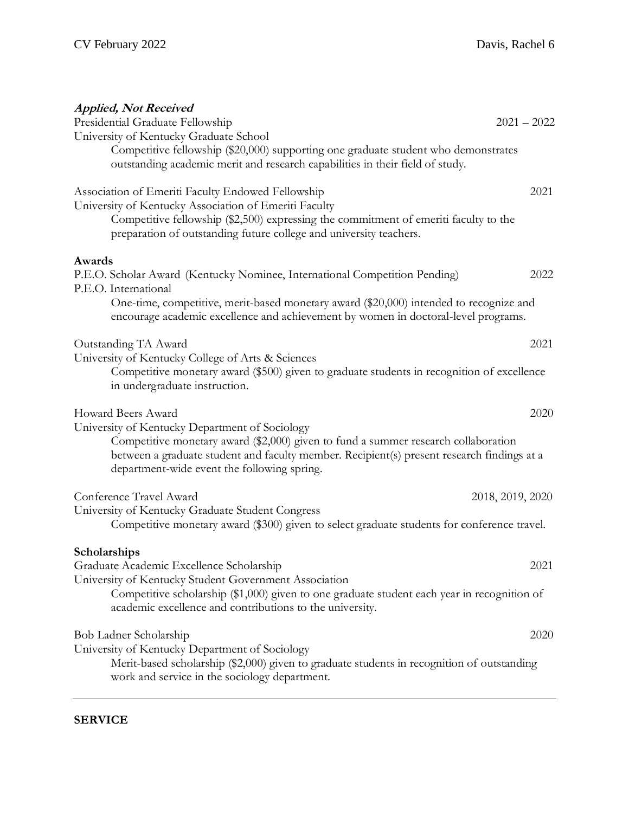| <b>Applied, Not Received</b><br>Presidential Graduate Fellowship                                                                                                                                                                                                                  | $2021 - 2022$    |
|-----------------------------------------------------------------------------------------------------------------------------------------------------------------------------------------------------------------------------------------------------------------------------------|------------------|
| University of Kentucky Graduate School                                                                                                                                                                                                                                            |                  |
| Competitive fellowship (\$20,000) supporting one graduate student who demonstrates<br>outstanding academic merit and research capabilities in their field of study.                                                                                                               |                  |
| Association of Emeriti Faculty Endowed Fellowship                                                                                                                                                                                                                                 | 2021             |
| University of Kentucky Association of Emeriti Faculty<br>Competitive fellowship (\$2,500) expressing the commitment of emeriti faculty to the<br>preparation of outstanding future college and university teachers.                                                               |                  |
| Awards                                                                                                                                                                                                                                                                            |                  |
| P.E.O. Scholar Award (Kentucky Nominee, International Competition Pending)<br>P.E.O. International                                                                                                                                                                                | 2022             |
| One-time, competitive, merit-based monetary award (\$20,000) intended to recognize and<br>encourage academic excellence and achievement by women in doctoral-level programs.                                                                                                      |                  |
| Outstanding TA Award                                                                                                                                                                                                                                                              | 2021             |
| University of Kentucky College of Arts & Sciences<br>Competitive monetary award (\$500) given to graduate students in recognition of excellence<br>in undergraduate instruction.                                                                                                  |                  |
| Howard Beers Award                                                                                                                                                                                                                                                                | 2020             |
| University of Kentucky Department of Sociology<br>Competitive monetary award (\$2,000) given to fund a summer research collaboration<br>between a graduate student and faculty member. Recipient(s) present research findings at a<br>department-wide event the following spring. |                  |
| Conference Travel Award                                                                                                                                                                                                                                                           | 2018, 2019, 2020 |
| University of Kentucky Graduate Student Congress<br>Competitive monetary award (\$300) given to select graduate students for conference travel.                                                                                                                                   |                  |
| Scholarships                                                                                                                                                                                                                                                                      |                  |
| Graduate Academic Excellence Scholarship                                                                                                                                                                                                                                          | 2021             |
| University of Kentucky Student Government Association<br>Competitive scholarship (\$1,000) given to one graduate student each year in recognition of<br>academic excellence and contributions to the university.                                                                  |                  |
| Bob Ladner Scholarship                                                                                                                                                                                                                                                            | 2020             |
| University of Kentucky Department of Sociology<br>Merit-based scholarship (\$2,000) given to graduate students in recognition of outstanding<br>work and service in the sociology department.                                                                                     |                  |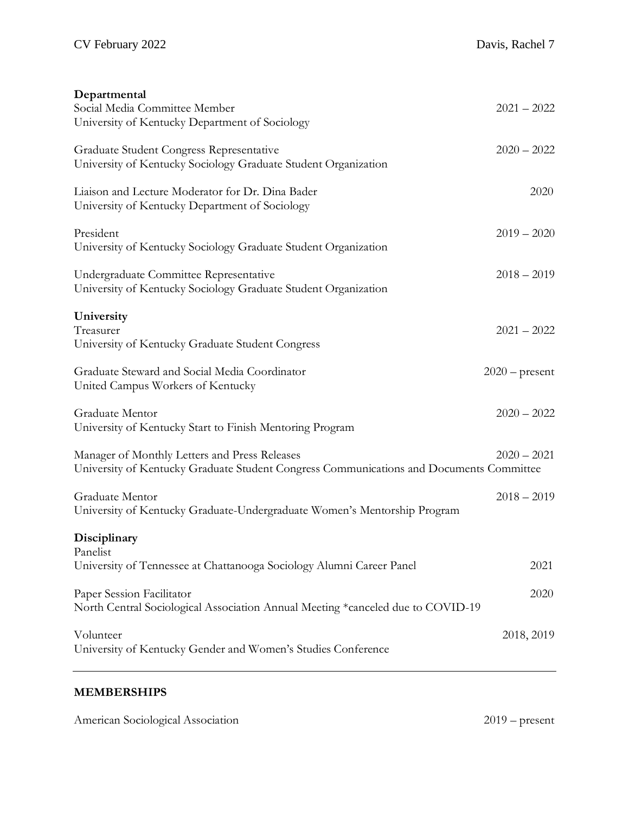| Departmental                                                                                             |                  |
|----------------------------------------------------------------------------------------------------------|------------------|
| Social Media Committee Member<br>University of Kentucky Department of Sociology                          | $2021 - 2022$    |
|                                                                                                          |                  |
| Graduate Student Congress Representative                                                                 | $2020 - 2022$    |
| University of Kentucky Sociology Graduate Student Organization                                           |                  |
| Liaison and Lecture Moderator for Dr. Dina Bader                                                         | 2020             |
| University of Kentucky Department of Sociology                                                           |                  |
| President                                                                                                | $2019 - 2020$    |
| University of Kentucky Sociology Graduate Student Organization                                           |                  |
|                                                                                                          |                  |
| Undergraduate Committee Representative<br>University of Kentucky Sociology Graduate Student Organization | $2018 - 2019$    |
|                                                                                                          |                  |
| University                                                                                               |                  |
| Treasurer<br>University of Kentucky Graduate Student Congress                                            | $2021 - 2022$    |
|                                                                                                          |                  |
| Graduate Steward and Social Media Coordinator                                                            | $2020$ – present |
| United Campus Workers of Kentucky                                                                        |                  |
| Graduate Mentor                                                                                          | $2020 - 2022$    |
| University of Kentucky Start to Finish Mentoring Program                                                 |                  |
| Manager of Monthly Letters and Press Releases                                                            | $2020 - 2021$    |
| University of Kentucky Graduate Student Congress Communications and Documents Committee                  |                  |
|                                                                                                          |                  |
| Graduate Mentor<br>University of Kentucky Graduate-Undergraduate Women's Mentorship Program              | $2018 - 2019$    |
|                                                                                                          |                  |
| Disciplinary                                                                                             |                  |
| Panelist<br>University of Tennessee at Chattanooga Sociology Alumni Career Panel                         | 2021             |
|                                                                                                          |                  |
| Paper Session Facilitator                                                                                | 2020             |
| North Central Sociological Association Annual Meeting *canceled due to COVID-19                          |                  |
| Volunteer                                                                                                | 2018, 2019       |
| University of Kentucky Gender and Women's Studies Conference                                             |                  |
|                                                                                                          |                  |

# **MEMBERSHIPS**

| American Sociological Association | $2019$ – present |
|-----------------------------------|------------------|
|-----------------------------------|------------------|